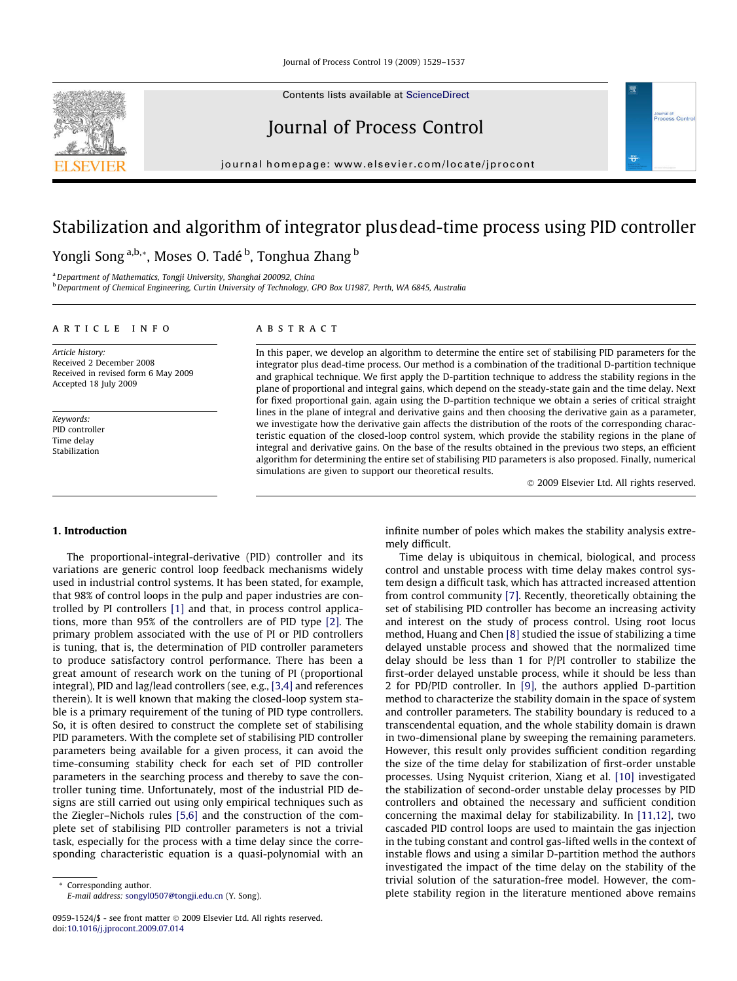Contents lists available at [ScienceDirect](http://www.sciencedirect.com/science/journal/09591524)



journal homepage: [www.elsevier.com/locate/jprocont](http://www.elsevier.com/locate/jprocont)

# Stabilization and algorithm of integrator plusdead-time process using PID controller

Yongli Song <sup>a,b,</sup>\*, Moses O. Tadé <sup>b</sup>, Tonghua Zhang <sup>b</sup>

a Department of Mathematics, Tongji University, Shanghai 200092, China

<sup>b</sup> Department of Chemical Engineering, Curtin University of Technology, GPO Box U1987, Perth, WA 6845, Australia

### article info

Article history: Received 2 December 2008 Received in revised form 6 May 2009 Accepted 18 July 2009

Keywords: PID controller Time delay Stabilization

### **ABSTRACT**

In this paper, we develop an algorithm to determine the entire set of stabilising PID parameters for the integrator plus dead-time process. Our method is a combination of the traditional D-partition technique and graphical technique. We first apply the D-partition technique to address the stability regions in the plane of proportional and integral gains, which depend on the steady-state gain and the time delay. Next for fixed proportional gain, again using the D-partition technique we obtain a series of critical straight lines in the plane of integral and derivative gains and then choosing the derivative gain as a parameter, we investigate how the derivative gain affects the distribution of the roots of the corresponding characteristic equation of the closed-loop control system, which provide the stability regions in the plane of integral and derivative gains. On the base of the results obtained in the previous two steps, an efficient algorithm for determining the entire set of stabilising PID parameters is also proposed. Finally, numerical simulations are given to support our theoretical results.

- 2009 Elsevier Ltd. All rights reserved.

**Journal of**<br>Process Contr

## 1. Introduction

The proportional-integral-derivative (PID) controller and its variations are generic control loop feedback mechanisms widely used in industrial control systems. It has been stated, for example, that 98% of control loops in the pulp and paper industries are controlled by PI controllers [\[1\]](#page--1-0) and that, in process control applications, more than 95% of the controllers are of PID type [\[2\]](#page--1-0). The primary problem associated with the use of PI or PID controllers is tuning, that is, the determination of PID controller parameters to produce satisfactory control performance. There has been a great amount of research work on the tuning of PI (proportional integral), PID and lag/lead controllers (see, e.g., [\[3,4\]](#page--1-0) and references therein). It is well known that making the closed-loop system stable is a primary requirement of the tuning of PID type controllers. So, it is often desired to construct the complete set of stabilising PID parameters. With the complete set of stabilising PID controller parameters being available for a given process, it can avoid the time-consuming stability check for each set of PID controller parameters in the searching process and thereby to save the controller tuning time. Unfortunately, most of the industrial PID designs are still carried out using only empirical techniques such as the Ziegler–Nichols rules [\[5,6\]](#page--1-0) and the construction of the complete set of stabilising PID controller parameters is not a trivial task, especially for the process with a time delay since the corresponding characteristic equation is a quasi-polynomial with an

infinite number of poles which makes the stability analysis extremely difficult.

Time delay is ubiquitous in chemical, biological, and process control and unstable process with time delay makes control system design a difficult task, which has attracted increased attention from control community [\[7\]](#page--1-0). Recently, theoretically obtaining the set of stabilising PID controller has become an increasing activity and interest on the study of process control. Using root locus method, Huang and Chen [\[8\]](#page--1-0) studied the issue of stabilizing a time delayed unstable process and showed that the normalized time delay should be less than 1 for P/PI controller to stabilize the first-order delayed unstable process, while it should be less than 2 for PD/PID controller. In [\[9\]](#page--1-0), the authors applied D-partition method to characterize the stability domain in the space of system and controller parameters. The stability boundary is reduced to a transcendental equation, and the whole stability domain is drawn in two-dimensional plane by sweeping the remaining parameters. However, this result only provides sufficient condition regarding the size of the time delay for stabilization of first-order unstable processes. Using Nyquist criterion, Xiang et al. [\[10\]](#page--1-0) investigated the stabilization of second-order unstable delay processes by PID controllers and obtained the necessary and sufficient condition concerning the maximal delay for stabilizability. In [\[11,12\],](#page--1-0) two cascaded PID control loops are used to maintain the gas injection in the tubing constant and control gas-lifted wells in the context of instable flows and using a similar D-partition method the authors investigated the impact of the time delay on the stability of the trivial solution of the saturation-free model. However, the complete stability region in the literature mentioned above remains



Corresponding author. E-mail address: [songyl0507@tongji.edu.cn](mailto:songyl0507@tongji.edu.cn) (Y. Song).

<sup>0959-1524/\$ -</sup> see front matter © 2009 Elsevier Ltd. All rights reserved. doi[:10.1016/j.jprocont.2009.07.014](http://dx.doi.org/10.1016/j.jprocont.2009.07.014)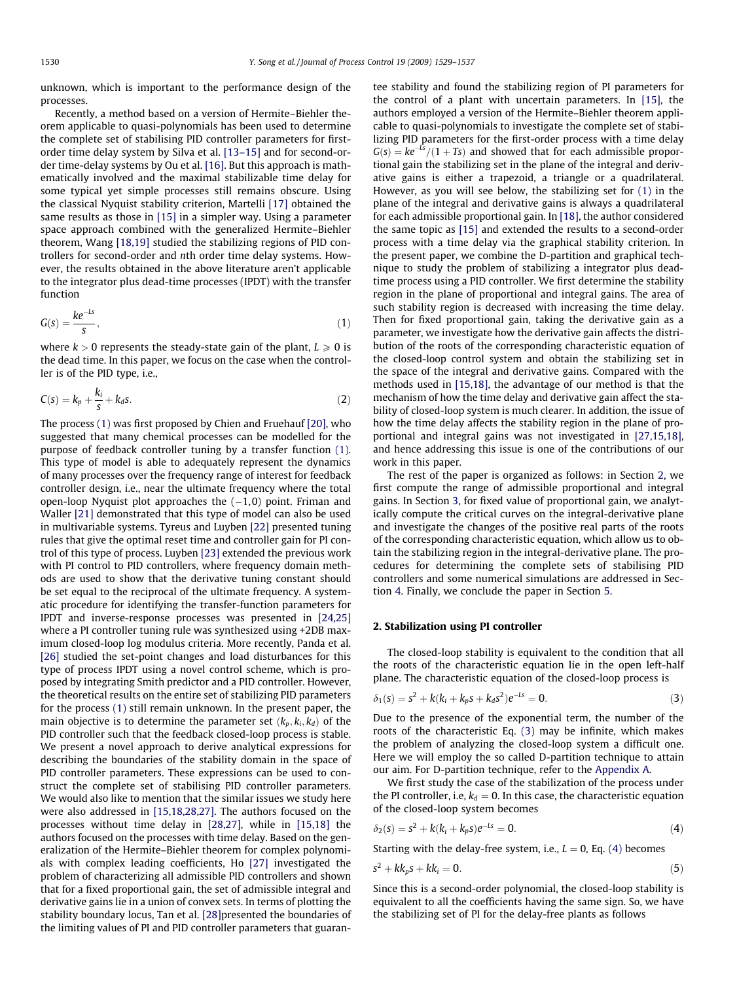unknown, which is important to the performance design of the processes.

Recently, a method based on a version of Hermite–Biehler theorem applicable to quasi-polynomials has been used to determine the complete set of stabilising PID controller parameters for firstorder time delay system by Silva et al. [\[13–15\]](#page--1-0) and for second-order time-delay systems by Ou et al. [\[16\]](#page--1-0). But this approach is mathematically involved and the maximal stabilizable time delay for some typical yet simple processes still remains obscure. Using the classical Nyquist stability criterion, Martelli [\[17\]](#page--1-0) obtained the same results as those in [\[15\]](#page--1-0) in a simpler way. Using a parameter space approach combined with the generalized Hermite–Biehler theorem, Wang [\[18,19\]](#page--1-0) studied the stabilizing regions of PID controllers for second-order and nth order time delay systems. However, the results obtained in the above literature aren't applicable to the integrator plus dead-time processes (IPDT) with the transfer function

$$
G(s) = \frac{ke^{-ls}}{s},\tag{1}
$$

where  $k > 0$  represents the steady-state gain of the plant,  $L \ge 0$  is the dead time. In this paper, we focus on the case when the controller is of the PID type, i.e.,

$$
C(s) = k_p + \frac{k_i}{s} + k_d s. \tag{2}
$$

The process (1) was first proposed by Chien and Fruehauf [\[20\]](#page--1-0), who suggested that many chemical processes can be modelled for the purpose of feedback controller tuning by a transfer function (1). This type of model is able to adequately represent the dynamics of many processes over the frequency range of interest for feedback controller design, i.e., near the ultimate frequency where the total open-loop Nyquist plot approaches the (–1,0) point. Friman and Waller [\[21\]](#page--1-0) demonstrated that this type of model can also be used in multivariable systems. Tyreus and Luyben [\[22\]](#page--1-0) presented tuning rules that give the optimal reset time and controller gain for PI control of this type of process. Luyben [\[23\]](#page--1-0) extended the previous work with PI control to PID controllers, where frequency domain methods are used to show that the derivative tuning constant should be set equal to the reciprocal of the ultimate frequency. A systematic procedure for identifying the transfer-function parameters for IPDT and inverse-response processes was presented in [\[24,25\]](#page--1-0) where a PI controller tuning rule was synthesized using +2DB maximum closed-loop log modulus criteria. More recently, Panda et al. [\[26\]](#page--1-0) studied the set-point changes and load disturbances for this type of process IPDT using a novel control scheme, which is proposed by integrating Smith predictor and a PID controller. However, the theoretical results on the entire set of stabilizing PID parameters for the process (1) still remain unknown. In the present paper, the main objective is to determine the parameter set  $(k_p, k_i, k_d)$  of the PID controller such that the feedback closed-loop process is stable. We present a novel approach to derive analytical expressions for describing the boundaries of the stability domain in the space of PID controller parameters. These expressions can be used to construct the complete set of stabilising PID controller parameters. We would also like to mention that the similar issues we study here were also addressed in [\[15,18,28,27\]](#page--1-0). The authors focused on the processes without time delay in [\[28,27\],](#page--1-0) while in [\[15,18\]](#page--1-0) the authors focused on the processes with time delay. Based on the generalization of the Hermite–Biehler theorem for complex polynomials with complex leading coefficients, Ho [\[27\]](#page--1-0) investigated the problem of characterizing all admissible PID controllers and shown that for a fixed proportional gain, the set of admissible integral and derivative gains lie in a union of convex sets. In terms of plotting the stability boundary locus, Tan et al. [\[28\]p](#page--1-0)resented the boundaries of the limiting values of PI and PID controller parameters that guarantee stability and found the stabilizing region of PI parameters for the control of a plant with uncertain parameters. In [\[15\],](#page--1-0) the authors employed a version of the Hermite–Biehler theorem applicable to quasi-polynomials to investigate the complete set of stabilizing PID parameters for the first-order process with a time delay  $G(s) = ke^{-ls}/(1+Ts)$  and showed that for each admissible proportional gain the stabilizing set in the plane of the integral and derivative gains is either a trapezoid, a triangle or a quadrilateral. However, as you will see below, the stabilizing set for (1) in the plane of the integral and derivative gains is always a quadrilateral for each admissible proportional gain. In [\[18\],](#page--1-0) the author considered the same topic as [\[15\]](#page--1-0) and extended the results to a second-order process with a time delay via the graphical stability criterion. In the present paper, we combine the D-partition and graphical technique to study the problem of stabilizing a integrator plus deadtime process using a PID controller. We first determine the stability region in the plane of proportional and integral gains. The area of such stability region is decreased with increasing the time delay. Then for fixed proportional gain, taking the derivative gain as a parameter, we investigate how the derivative gain affects the distribution of the roots of the corresponding characteristic equation of the closed-loop control system and obtain the stabilizing set in the space of the integral and derivative gains. Compared with the methods used in [\[15,18\],](#page--1-0) the advantage of our method is that the mechanism of how the time delay and derivative gain affect the stability of closed-loop system is much clearer. In addition, the issue of how the time delay affects the stability region in the plane of proportional and integral gains was not investigated in [\[27,15,18\],](#page--1-0) and hence addressing this issue is one of the contributions of our work in this paper.

The rest of the paper is organized as follows: in Section 2, we first compute the range of admissible proportional and integral gains. In Section [3,](#page--1-0) for fixed value of proportional gain, we analytically compute the critical curves on the integral-derivative plane and investigate the changes of the positive real parts of the roots of the corresponding characteristic equation, which allow us to obtain the stabilizing region in the integral-derivative plane. The procedures for determining the complete sets of stabilising PID controllers and some numerical simulations are addressed in Section [4](#page--1-0). Finally, we conclude the paper in Section [5](#page--1-0).

#### 2. Stabilization using PI controller

The closed-loop stability is equivalent to the condition that all the roots of the characteristic equation lie in the open left-half plane. The characteristic equation of the closed-loop process is

$$
\delta_1(s) = s^2 + k(k_i + k_p s + k_d s^2) e^{-ls} = 0.
$$
 (3)

Due to the presence of the exponential term, the number of the roots of the characteristic Eq. (3) may be infinite, which makes the problem of analyzing the closed-loop system a difficult one. Here we will employ the so called D-partition technique to attain our aim. For D-partition technique, refer to the Appendix A.

We first study the case of the stabilization of the process under the PI controller, i.e,  $k_d = 0$ . In this case, the characteristic equation of the closed-loop system becomes

$$
\delta_2(s) = s^2 + k(k_i + k_p s)e^{-Ls} = 0.
$$
 (4)

Starting with the delay-free system, i.e.,  $L = 0$ , Eq. (4) becomes

$$
s^2 + kk_p s + kk_i = 0. \tag{5}
$$

Since this is a second-order polynomial, the closed-loop stability is equivalent to all the coefficients having the same sign. So, we have the stabilizing set of PI for the delay-free plants as follows